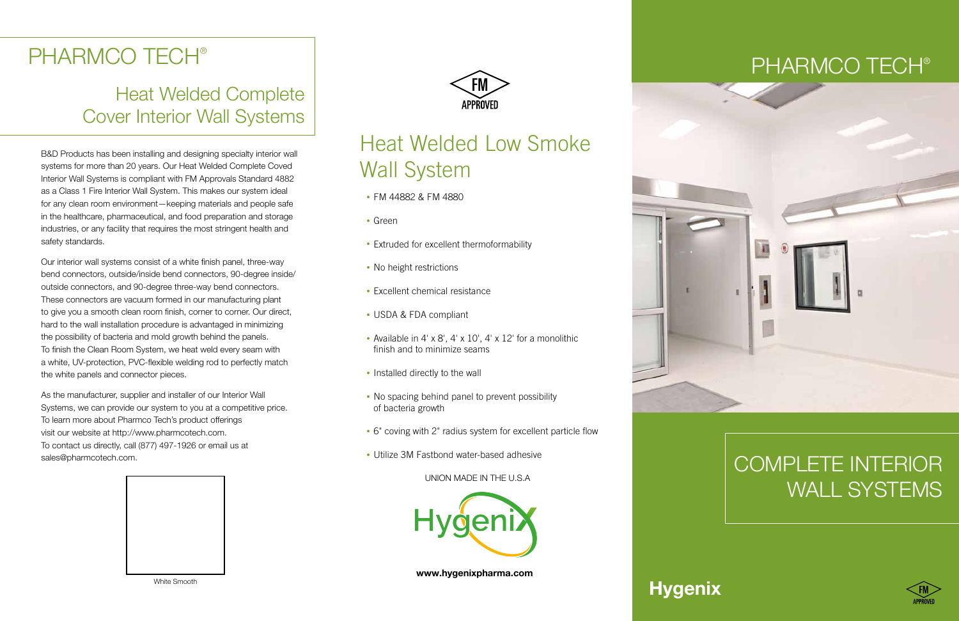

## Complete Interior WALL SYSTEMS





## **Hygenix**

## PHARMCO TECH®

## Heat Welded Complete Cover Interior Wall Systems

B&D Products has been installing and designing specialty interior wall systems for more than 20 years. Our Heat Welded Complete Coved Interior Wall Systems is compliant with FM Approvals Standard 4882 as a Class 1 Fire Interior Wall System. This makes our system ideal for any clean room environment—keeping materials and people safe in the healthcare, pharmaceutical, and food preparation and storage industries, or any facility that requires the most stringent health and safety standards.

Our interior wall systems consist of a white finish panel, three-way bend connectors, outside/inside bend connectors, 90-degree inside/ outside connectors, and 90-degree three-way bend connectors. These connectors are vacuum formed in our manufacturing plant to give you a smooth clean room finish, corner to corner. Our direct, hard to the wall installation procedure is advantaged in minimizing the possibility of bacteria and mold growth behind the panels. To finish the Clean Room System, we heat weld every seam with a white, UV-protection, PVC-flexible welding rod to perfectly match the white panels and connector pieces.

As the manufacturer, supplier and installer of our Interior Wall Systems, we can provide our system to you at a competitive price. To learn more about Pharmco Tech's product offerings visit our website at http://www.pharmcotech.com. To contact us directly, call (877) 497-1926 or email us at sales@pharmcotech.com.





#### UnIon maDe In The U.S.A



White Smooth

## Heat Welded Low Smoke Wall System

- FM 44882 & FM 4880
- Green
- Extruded for excellent thermoformability
- No height restrictions
- Excellent chemical resistance
- USDA & FDA compliant
- Available in 4' x 8', 4' x 10', 4' x 12' for a monolithic finish and to minimize seams
- Installed directly to the wall
- No spacing behind panel to prevent possibility of bacteria growth
- 6" coving with 2" radius system for excellent particle flow
- Utilize 3M Fastbond water-based adhesive

**www.hygenixpharma.com**